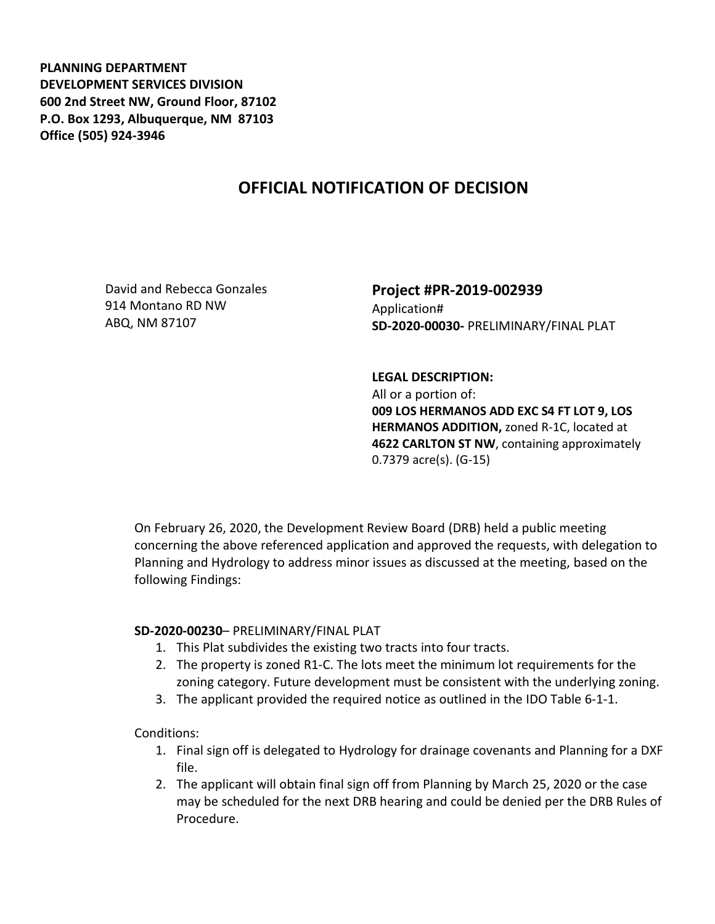**PLANNING DEPARTMENT DEVELOPMENT SERVICES DIVISION 600 2nd Street NW, Ground Floor, 87102 P.O. Box 1293, Albuquerque, NM 87103 Office (505) 924-3946** 

## **OFFICIAL NOTIFICATION OF DECISION**

David and Rebecca Gonzales 914 Montano RD NW ABQ, NM 87107

## **Project #PR-2019-002939** Application# **SD-2020-00030-** PRELIMINARY/FINAL PLAT

## **LEGAL DESCRIPTION:**

All or a portion of: **009 LOS HERMANOS ADD EXC S4 FT LOT 9, LOS HERMANOS ADDITION,** zoned R-1C, located at **4622 CARLTON ST NW**, containing approximately 0.7379 acre(s). (G-15)

On February 26, 2020, the Development Review Board (DRB) held a public meeting concerning the above referenced application and approved the requests, with delegation to Planning and Hydrology to address minor issues as discussed at the meeting, based on the following Findings:

## **SD-2020-00230**– PRELIMINARY/FINAL PLAT

- 1. This Plat subdivides the existing two tracts into four tracts.
- 2. The property is zoned R1-C. The lots meet the minimum lot requirements for the zoning category. Future development must be consistent with the underlying zoning.
- 3. The applicant provided the required notice as outlined in the IDO Table 6-1-1.

Conditions:

- 1. Final sign off is delegated to Hydrology for drainage covenants and Planning for a DXF file.
- 2. The applicant will obtain final sign off from Planning by March 25, 2020 or the case may be scheduled for the next DRB hearing and could be denied per the DRB Rules of Procedure.